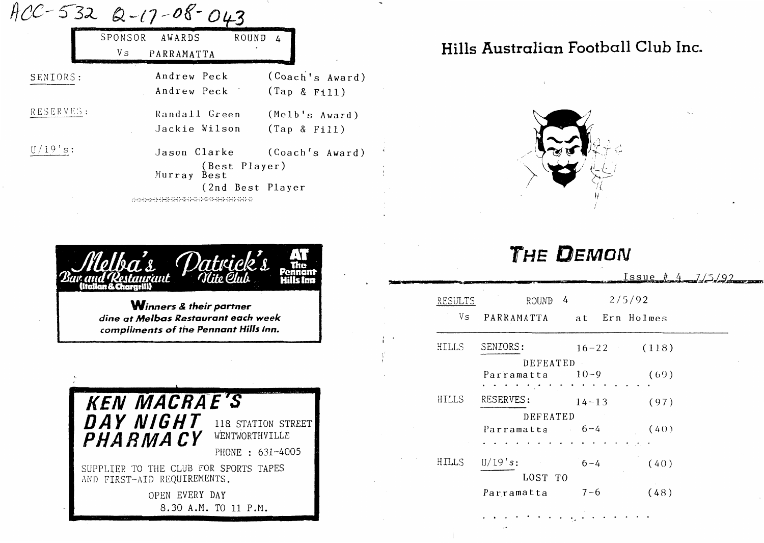|           | $-532$ Q-17-08-0               |                                  |
|-----------|--------------------------------|----------------------------------|
|           | SPONSOR<br>AWARDS              | <b>ROUND</b>                     |
|           | V s<br>PARRAMATTA              |                                  |
| SENIORS:  | Andrew Peck<br>Andrew Peck     | (Coach's Award)<br>(Tap & Fi11)  |
| RESERVES: | Randall Green<br>Jackie Wilson | (Melb's Award)<br>(Tap & Fi11)   |
| 19.       | Jason Clarke<br>Murray Best    | (Coach's Award)<br>(Best Player) |
|           |                                | (2nd Best Player                 |



*Winners* **&** *their partner dine at Me/bas Restaurant each week compliments of the Pennant Hills Inn.* 



# **Hills Australian Football Club Inc.**



# **THE DEMON**

 $Issue$   $#$  4  $7/5/92$ 

| RESULTS | $\frac{1}{4}$<br>ROUND      |           |           | 2/5/92        |  |
|---------|-----------------------------|-----------|-----------|---------------|--|
| Vs      | PARRAMATTA                  |           |           | at Ern Holmes |  |
| HILLS   | SENIORS:                    |           | $16 - 22$ | (118)         |  |
|         | DEFEATED<br>Parramatta 10-9 |           |           | (69)          |  |
| HILLS   | RESERVES:                   | $14 - 13$ |           | (97)          |  |
|         | DEFEATED                    |           |           |               |  |
|         | Parramatta 6-4              |           |           | (40)          |  |
|         |                             |           |           |               |  |
| HILLS   | U/19's:<br>LOST TO          | $6 - 4$   |           | (40)          |  |
|         | Parramatta                  | $7 - 6$   |           | (48)          |  |
|         |                             |           |           |               |  |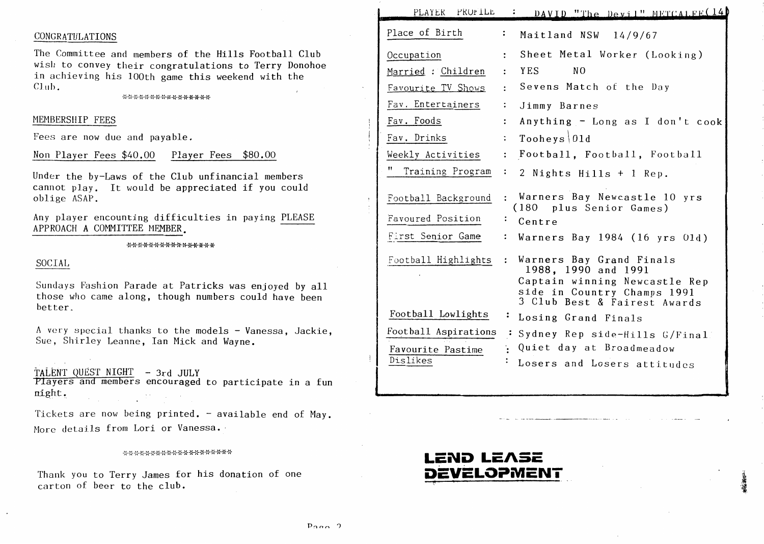# CONGRATULATIONS

The Committee and members of the Hills Football Club wish to convey their congratulations to Terry Donohoe in achieving his lOOth game this weekend with the Club.

# MEMBERSHIP FEES

Fees are now due and payable.

Non Player Fees \$40.00 Player Fees \$80.00

Under the by-Laws of the Club unfinancial members cannot play. It would be appreciated if you could oblige ASAP.

Any player encounting difficulties in paying PLEASE APPROACH A COMMITTEE MEMBER.

### \*\*\*\*\*\*\*\*\*\*\*\*\*\*\*\*

# SOCIAL

Sundays Fashion Parade at Patricks was enjoyed by all those who came along, though numbers could have been better.

A very special thanks to the models - Vanessa, Jackie, Sue, Shirley Leanne, Ian Mick and Wayne.

TALENT QUEST NIGHT - 3rd JULY

Players and members encouraged to participate in a fun night.

Tickets are now being printed. - available end of May. More details from Lori or Vanessa.

### \*\*\*\*\*\*\*\*\*\*\*\*\*\*\*\*\*\*\*\*

Thank you to Terry James for his donation of one carton of beer to the club.

| PLAYER PROFILE         | DAVID "The Devil" METCALFE(14                                                                                                                   |
|------------------------|-------------------------------------------------------------------------------------------------------------------------------------------------|
| Place of Birth         | ፡<br>Maitland NSW 14/9/67                                                                                                                       |
| Occupation             | Sheet Metal Worker (Looking)<br>$\ddot{\phantom{a}}$                                                                                            |
| Married : Children     | N <sub>O</sub><br>YES<br>$\ddot{\cdot}$                                                                                                         |
| Favourite TV Shows     | Sevens Match of the Day                                                                                                                         |
| Fav. Entertainers      | $\ddot{\cdot}$<br>Jimmy Barnes                                                                                                                  |
| Fav. Foods             | Anything - Long as I don't cook<br>$\ddot{\cdot}$                                                                                               |
| Fav. Drinks            | Tooheys 01d<br>$\ddot{\cdot}$                                                                                                                   |
| Weekly Activities      | Football, Football, Football<br>$\ddot{\cdot}$                                                                                                  |
| 11<br>Training Program | :<br>2 Nights Hills + 1 Rep.                                                                                                                    |
| Football Background    | : Warners Bay Newcastle 10 yrs<br>(180 plus Senior Games)                                                                                       |
| Favoured Position      | Centre                                                                                                                                          |
| First Senior Game      | Warners Bay 1984 (16 yrs 01d)<br>$\ddot{\cdot}$                                                                                                 |
| Football Highlights    | Warners Bay Grand Finals<br>1988, 1990 and 1991<br>Captain winning Newcastle Rep<br>side in Country Champs 1991<br>3 Club Best & Fairest Awards |
| Football Lowlights     | ÷<br>Losing Grand Finals                                                                                                                        |
| Football Aspirations   | Sydney Rep side-Hills G/Final                                                                                                                   |
| Favourite Pastime      | Quiet day at Broadmeadow                                                                                                                        |
| Dislikes               | Losers and Losers attitudes                                                                                                                     |

# LEND LE*I*SE **DEVELOPMENT**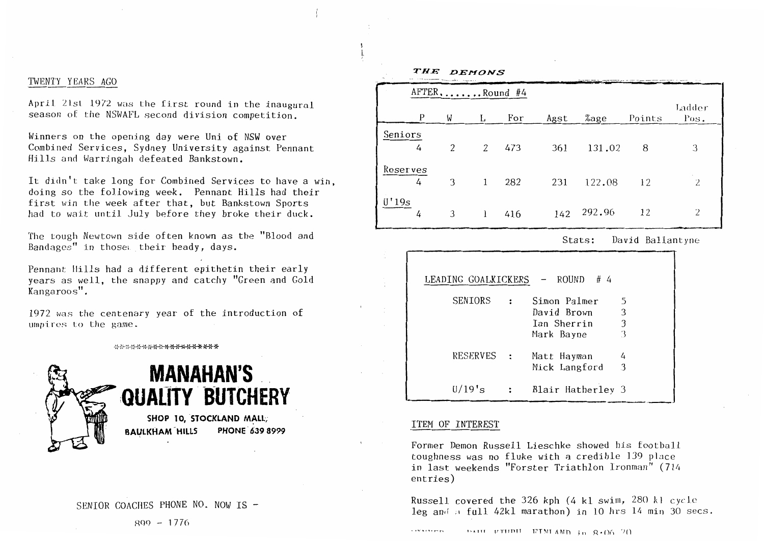# TWENTY YEARS AGO

April 21st 1972 was the first round in the inaugural season of the NSWAFL second division competition.

Winners on the opening day were Uni of NSW over Combined Services, Sydney University against Pennant Hills and Warringah defeated Bankstown.

It didn't take long for Combined Services to have a win, doing so the following week. Pennant Hills had their first win the week after that, but Banks town Sports had to wait until July before they broke their duck.

The tough Newtown side of ten known as the "Blood and Bandages" in those their heady, days.

Pennant Hills had a different epithetin their early years as well, the snappy and catchy "Green and Gold Kangaroos".

1972 was the centenary year of the introduction of umpires to the game.

\*\*\*\*\*\*\*\*\*\*\*\*\*\*\*\*\*\*\*



# **MANAHAN'S QUALITY BUICHERY** SHOP 10, STOCKLAND MALL,

BAULKHAM<sup>-</sup>HILLS PHONE 639 8999

| P             | W | L            | For | Agst | %age   | Points | Ladder<br>Pos. |
|---------------|---|--------------|-----|------|--------|--------|----------------|
| Seniors<br>4  | 2 | 2            | 473 | 361  | 131.02 | 8      | 3              |
| Reserves<br>4 | 3 | $\mathbf{1}$ | 282 | 231  | 122.08 | 12     | 2              |
| U'19s<br>4    | 3 |              | 416 | 142  | 292.96 | 12     | 2              |

Stats: David Ballantyne

| LEADING GOALKICKERS |              | $-$ ROUND # 4     |                         |
|---------------------|--------------|-------------------|-------------------------|
| SENIORS             |              | Simon Palmer      | 5                       |
|                     |              | David Brown       | 3                       |
|                     |              | Ian Sherrin       | $\overline{\mathbf{3}}$ |
|                     |              | Mark Bayne        | 3                       |
| RESERVES :          |              | Matt Hayman       | 4                       |
|                     |              | Mick Langford     | -3                      |
| $U/19$ 's           | $\mathbf{L}$ | Blair Hatherley 3 |                         |
|                     |              |                   |                         |

# ITEM OF INTEREST

*THE DEMONS* 

 $A \text{FTER} \dots \text{Round}$ #4

Former Demon Russell Lieschke showed his football toughness was no fluke with a credible 139 p1ace in last weekends "Forster Triathlon Ironman" (7l4 entries)

Russell covered the 326 kph (4 kl swim, 280 kl cycJ.e leg and a full 42kl marathon) in 10 hrs 14 min 30 secs.